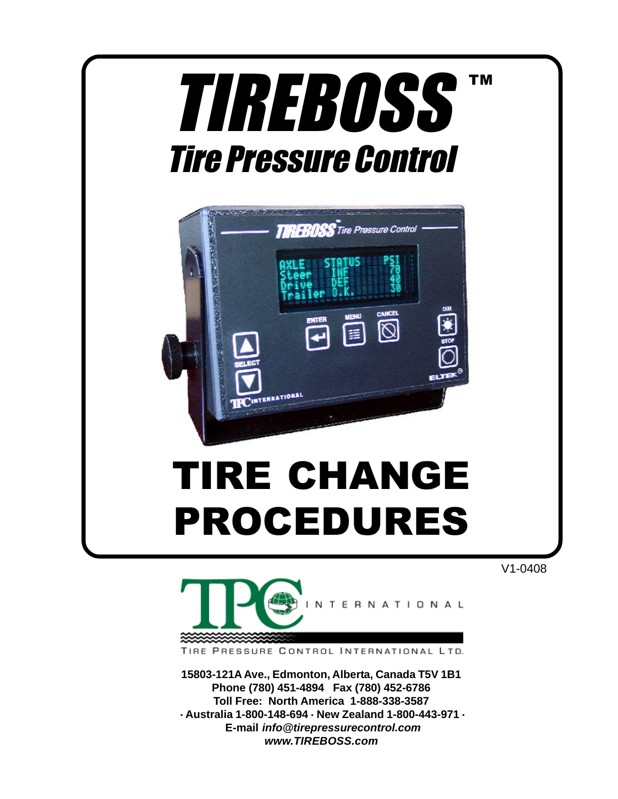

V1-0408



TIRE PRESSURE CONTROL INTERNATIONAL LTD.

**15803-121A Ave., Edmonton, Alberta, Canada T5V 1B1 Phone (780) 451-4894 Fax (780) 452-6786 Toll Free: North America 1-888-338-3587 . Australia 1-800-148-694 . New Zealand 1-800-443-971 . E-mail info@tirepressurecontrol.com www.TIREBOSS.com**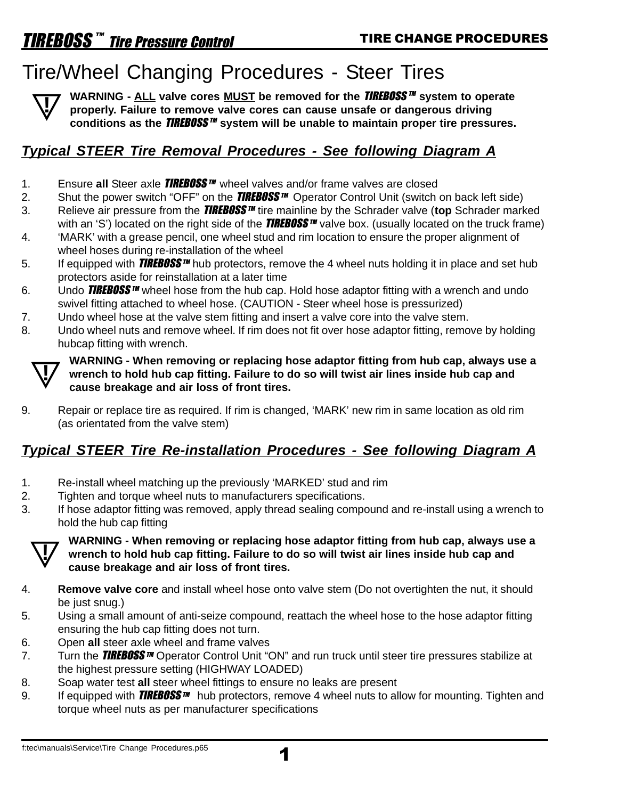# Tire/Wheel Changing Procedures - Steer Tires



**WARNING - ALL valve cores MUST be removed for the <b>TIREBOSS**<sup>™</sup> system to operate **properly. Failure to remove valve cores can cause unsafe or dangerous driving conditions as the** TIREBOSS TM **system will be unable to maintain proper tire pressures.**

### **Typical STEER Tire Removal Procedures - See following Diagram A**

- 1. Ensure all Steer axle **TIREBOSS**<sup>™</sup> wheel valves and/or frame valves are closed
- 2. Shut the power switch "OFF" on the **TIREBOSS**<sup>™</sup> Operator Control Unit (switch on back left side)
- 3. Relieve air pressure from the **TIREBOSS**<sup>IM</sup> tire mainline by the Schrader valve (top Schrader marked with an 'S') located on the right side of the **TIREBOSS**  $m$  valve box. (usually located on the truck frame)
- 4. 'MARK' with a grease pencil, one wheel stud and rim location to ensure the proper alignment of wheel hoses during re-installation of the wheel
- 5. If equipped with **TIREBOSS** TM hub protectors, remove the 4 wheel nuts holding it in place and set hub protectors aside for reinstallation at a later time
- 6. Undo **TIREBOSS**  $\mathbf{w}$  wheel hose from the hub cap. Hold hose adaptor fitting with a wrench and undo swivel fitting attached to wheel hose. (CAUTION - Steer wheel hose is pressurized)
- 7. Undo wheel hose at the valve stem fitting and insert a valve core into the valve stem.
- 8. Undo wheel nuts and remove wheel. If rim does not fit over hose adaptor fitting, remove by holding hubcap fitting with wrench.



**! WARNING - When removing or replacing hose adaptor fitting from hub cap, always use a wrench to hold hub cap fitting. Failure to do so will twist air lines inside hub cap and cause breakage and air loss of front tires.**

9. Repair or replace tire as required. If rim is changed, 'MARK' new rim in same location as old rim (as orientated from the valve stem)

### **Typical STEER Tire Re-installation Procedures - See following Diagram A**

- 1. Re-install wheel matching up the previously 'MARKED' stud and rim
- 2. Tighten and torque wheel nuts to manufacturers specifications.
- 3. If hose adaptor fitting was removed, apply thread sealing compound and re-install using a wrench to hold the hub cap fitting



### **! WARNING - When removing or replacing hose adaptor fitting from hub cap, always use a wrench to hold hub cap fitting. Failure to do so will twist air lines inside hub cap and cause breakage and air loss of front tires.**

- 4. **Remove valve core** and install wheel hose onto valve stem (Do not overtighten the nut, it should be just snug.)
- 5. Using a small amount of anti-seize compound, reattach the wheel hose to the hose adaptor fitting ensuring the hub cap fitting does not turn.
- 6. Open **all** steer axle wheel and frame valves
- 7. Turn the **TIREBOSS** IM Operator Control Unit "ON" and run truck until steer tire pressures stabilize at the highest pressure setting (HIGHWAY LOADED)
- 8. Soap water test **all** steer wheel fittings to ensure no leaks are present
- 9. If equipped with **TIREBOSS**  $\mathbb{M}$  hub protectors, remove 4 wheel nuts to allow for mounting. Tighten and torque wheel nuts as per manufacturer specifications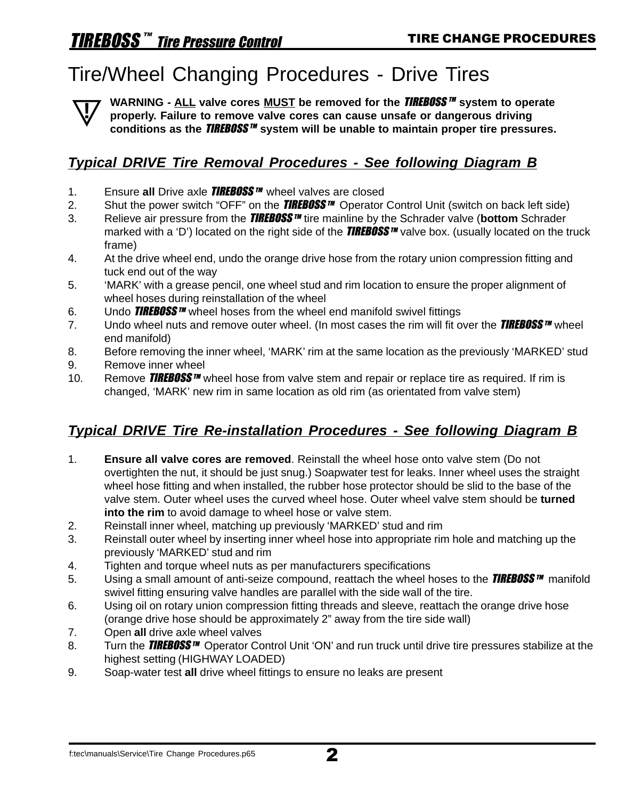# Tire/Wheel Changing Procedures - Drive Tires

**WARNING - ALL valve cores MUST be removed for the <b>TIREBOSS**<sup>™</sup> system to operate **properly. Failure to remove valve cores can cause unsafe or dangerous driving conditions as the** TIREBOSS TM **system will be unable to maintain proper tire pressures. !**

#### **Typical DRIVE Tire Removal Procedures - See following Diagram B**

- 1. Ensure all Drive axle **TIREBOSS**<sup>TM</sup> wheel valves are closed
- 2. Shut the power switch "OFF" on the **TIREBOSS**  $\mathbf{w}$  Operator Control Unit (switch on back left side)
- 3. Relieve air pressure from the **TIREBOSS**<sup>*m*</sup> tire mainline by the Schrader valve (bottom Schrader marked with a 'D') located on the right side of the **TIREBOSS** TIM valve box. (usually located on the truck frame)
- 4. At the drive wheel end, undo the orange drive hose from the rotary union compression fitting and tuck end out of the way
- 5. 'MARK' with a grease pencil, one wheel stud and rim location to ensure the proper alignment of wheel hoses during reinstallation of the wheel
- 6. Undo **TIREBOSS**<sup>*m*</sup> wheel hoses from the wheel end manifold swivel fittings
- 7. Undo wheel nuts and remove outer wheel. (In most cases the rim will fit over the **TIREBOSS**  $\mathbf{w}$  wheel end manifold)
- 8. Before removing the inner wheel, 'MARK' rim at the same location as the previously 'MARKED' stud
- 9. Remove inner wheel
- 10. Remove **TIREBOSS**<sup>M</sup> wheel hose from valve stem and repair or replace tire as required. If rim is changed, 'MARK' new rim in same location as old rim (as orientated from valve stem)

#### **Typical DRIVE Tire Re-installation Procedures - See following Diagram B**

- 1. **Ensure all valve cores are removed**. Reinstall the wheel hose onto valve stem (Do not overtighten the nut, it should be just snug.) Soapwater test for leaks. Inner wheel uses the straight wheel hose fitting and when installed, the rubber hose protector should be slid to the base of the valve stem. Outer wheel uses the curved wheel hose. Outer wheel valve stem should be **turned into the rim** to avoid damage to wheel hose or valve stem.
- 2. Reinstall inner wheel, matching up previously 'MARKED' stud and rim
- 3. Reinstall outer wheel by inserting inner wheel hose into appropriate rim hole and matching up the previously 'MARKED' stud and rim
- 4. Tighten and torque wheel nuts as per manufacturers specifications
- 5. Using a small amount of anti-seize compound, reattach the wheel hoses to the **TIREBOSS**<sup>*m*</sup> manifold swivel fitting ensuring valve handles are parallel with the side wall of the tire.
- 6. Using oil on rotary union compression fitting threads and sleeve, reattach the orange drive hose (orange drive hose should be approximately 2" away from the tire side wall)
- 7. Open **all** drive axle wheel valves
- 8. Turn the **TIREBOSS**<sup>TM</sup> Operator Control Unit 'ON' and run truck until drive tire pressures stabilize at the highest setting (HIGHWAY LOADED)
- 9. Soap-water test **all** drive wheel fittings to ensure no leaks are present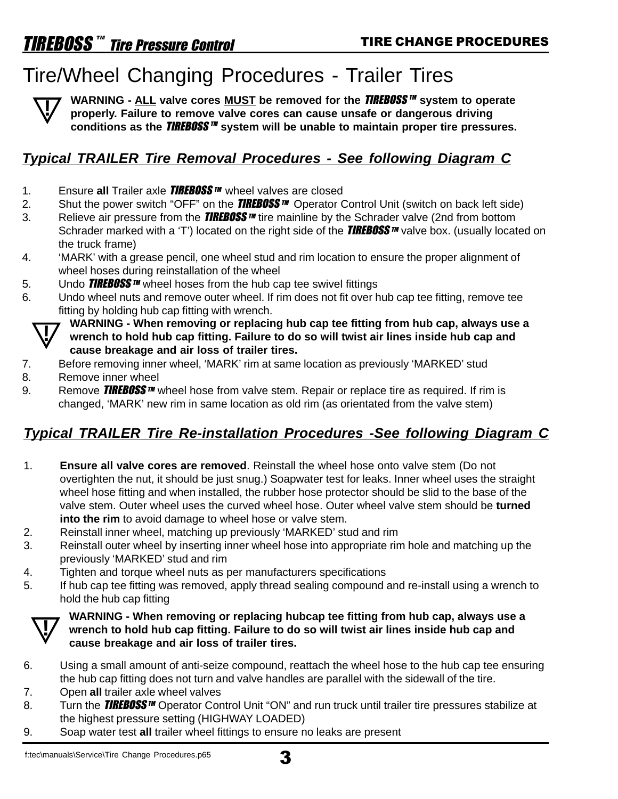# Tire/Wheel Changing Procedures - Trailer Tires



**WARNING - ALL valve cores MUST be removed for the <b>TIREBOSS**<sup>™</sup> system to operate **properly. Failure to remove valve cores can cause unsafe or dangerous driving conditions as the** TIREBOSS TM **system will be unable to maintain proper tire pressures.**

#### **Typical TRAILER Tire Removal Procedures - See following Diagram C**

- 1. Ensure all Trailer axle **TIREBOSS**™ wheel valves are closed
- 2. Shut the power switch "OFF" on the **TIREBOSS**  $\mathbf{w}$  Operator Control Unit (switch on back left side)
- 3. Relieve air pressure from the **TIREBOSS**  $\mathbf{w}$  tire mainline by the Schrader valve (2nd from bottom Schrader marked with a 'T') located on the right side of the **TIREBOSS** TM valve box. (usually located on the truck frame)
- 4. 'MARK' with a grease pencil, one wheel stud and rim location to ensure the proper alignment of wheel hoses during reinstallation of the wheel
- 5. Undo **TIREBOSS**  $\mathbf{w}$  wheel hoses from the hub cap tee swivel fittings
- 6. Undo wheel nuts and remove outer wheel. If rim does not fit over hub cap tee fitting, remove tee fitting by holding hub cap fitting with wrench.



**! WARNING - When removing or replacing hub cap tee fitting from hub cap, always use a wrench to hold hub cap fitting. Failure to do so will twist air lines inside hub cap and cause breakage and air loss of trailer tires.**

- 7. Before removing inner wheel, 'MARK' rim at same location as previously 'MARKED' stud
- 8. Remove inner wheel
- 9. Remove **TIREBOSS** TM wheel hose from valve stem. Repair or replace tire as required. If rim is changed, 'MARK' new rim in same location as old rim (as orientated from the valve stem)

#### **Typical TRAILER Tire Re-installation Procedures -See following Diagram C**

- 1. **Ensure all valve cores are removed**. Reinstall the wheel hose onto valve stem (Do not overtighten the nut, it should be just snug.) Soapwater test for leaks. Inner wheel uses the straight wheel hose fitting and when installed, the rubber hose protector should be slid to the base of the valve stem. Outer wheel uses the curved wheel hose. Outer wheel valve stem should be **turned into the rim** to avoid damage to wheel hose or valve stem.
- 2. Reinstall inner wheel, matching up previously 'MARKED' stud and rim
- 3. Reinstall outer wheel by inserting inner wheel hose into appropriate rim hole and matching up the previously 'MARKED' stud and rim
- 4. Tighten and torque wheel nuts as per manufacturers specifications
- 5. If hub cap tee fitting was removed, apply thread sealing compound and re-install using a wrench to hold the hub cap fitting



### **! WARNING - When removing or replacing hubcap tee fitting from hub cap, always use a wrench to hold hub cap fitting. Failure to do so will twist air lines inside hub cap and cause breakage and air loss of trailer tires.**

- 6. Using a small amount of anti-seize compound, reattach the wheel hose to the hub cap tee ensuring the hub cap fitting does not turn and valve handles are parallel with the sidewall of the tire.
- 7. Open **all** trailer axle wheel valves
- 8. Turn the **TIREBOSS** TM Operator Control Unit "ON" and run truck until trailer tire pressures stabilize at the highest pressure setting (HIGHWAY LOADED)
- 9. Soap water test **all** trailer wheel fittings to ensure no leaks are present